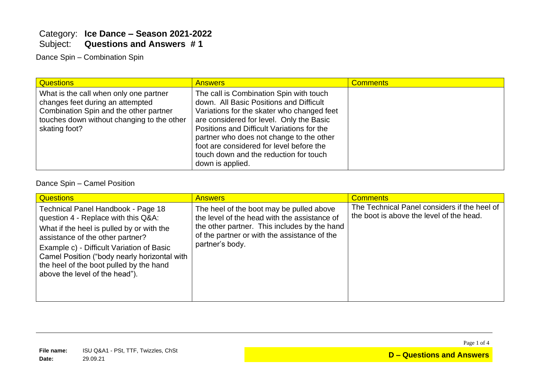## Category: **Ice Dance – Season 2021-2022** Subject: **Questions and Answers # 1**

Dance Spin – Combination Spin

| <b>Questions</b>                                                                                                                                                                    | <b>Answers</b>                                                                                                                                                                                                                                                                                                                                                                   | <b>Comments</b> |
|-------------------------------------------------------------------------------------------------------------------------------------------------------------------------------------|----------------------------------------------------------------------------------------------------------------------------------------------------------------------------------------------------------------------------------------------------------------------------------------------------------------------------------------------------------------------------------|-----------------|
| What is the call when only one partner<br>changes feet during an attempted<br>Combination Spin and the other partner<br>touches down without changing to the other<br>skating foot? | The call is Combination Spin with touch<br>down. All Basic Positions and Difficult<br>Variations for the skater who changed feet<br>are considered for level. Only the Basic<br>Positions and Difficult Variations for the<br>partner who does not change to the other<br>foot are considered for level before the<br>touch down and the reduction for touch<br>down is applied. |                 |

#### Dance Spin – Camel Position

| <b>Questions</b>                                                                                                                                                                                                                                                                                                                     | <b>Answers</b>                                                                                                                                                                                              | <b>Comments</b>                                                                          |
|--------------------------------------------------------------------------------------------------------------------------------------------------------------------------------------------------------------------------------------------------------------------------------------------------------------------------------------|-------------------------------------------------------------------------------------------------------------------------------------------------------------------------------------------------------------|------------------------------------------------------------------------------------------|
| Technical Panel Handbook - Page 18<br>question 4 - Replace with this Q&A:<br>What if the heel is pulled by or with the<br>assistance of the other partner?<br>Example c) - Difficult Variation of Basic<br>Camel Position ("body nearly horizontal with<br>the heel of the boot pulled by the hand<br>above the level of the head"). | The heel of the boot may be pulled above<br>the level of the head with the assistance of<br>the other partner. This includes by the hand<br>of the partner or with the assistance of the<br>partner's body. | The Technical Panel considers if the heel of<br>the boot is above the level of the head. |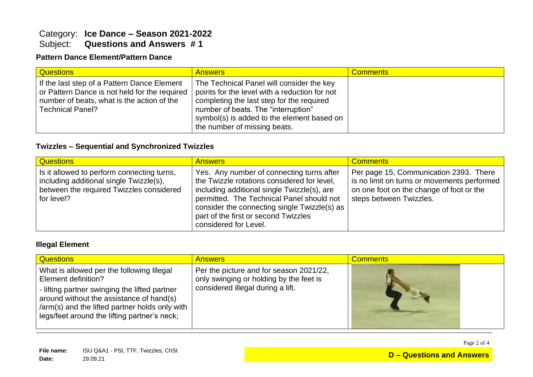## Category: **Ice Dance – Season 2021-2022** Subject: **Questions and Answers # 1**

### **Pattern Dance Element/Pattern Dance**

| <b>Questions</b>                                                                                                                                                        | <b>Answers</b>                                                                                                                                                                                                                                               | <b>Comments</b> |
|-------------------------------------------------------------------------------------------------------------------------------------------------------------------------|--------------------------------------------------------------------------------------------------------------------------------------------------------------------------------------------------------------------------------------------------------------|-----------------|
| If the last step of a Pattern Dance Element<br>or Pattern Dance is not held for the required<br>I number of beats, what is the action of the<br><b>Technical Panel?</b> | The Technical Panel will consider the key<br>points for the level with a reduction for not<br>completing the last step for the required<br>number of beats. The "interruption"<br>symbol(s) is added to the element based on<br>the number of missing beats. |                 |

#### **Twizzles – Sequential and Synchronized Twizzles**

| <b>Questions</b>                                                                                                                                | <b>Answers</b>                                                                                                                                                                                                                                                                                        | <b>Comments</b>                                                                                                                                              |
|-------------------------------------------------------------------------------------------------------------------------------------------------|-------------------------------------------------------------------------------------------------------------------------------------------------------------------------------------------------------------------------------------------------------------------------------------------------------|--------------------------------------------------------------------------------------------------------------------------------------------------------------|
| Is it allowed to perform connecting turns,<br>including additional single Twizzle(s),<br>between the required Twizzles considered<br>for level? | Yes. Any number of connecting turns after<br>the Twizzle rotations considered for level,<br>including additional single Twizzle(s), are<br>permitted. The Technical Panel should not<br>consider the connecting single Twizzle(s) as<br>part of the first or second Twizzles<br>considered for Level. | Per page 15, Communication 2393. There<br>is no limit on turns or movements performed<br>on one foot on the change of foot or the<br>steps between Twizzles. |

#### **Illegal Element**

| <b>Questions</b>                                                                                                                                                                                                                                                | <b>Answers</b>                                                                                                          | <b>Comments</b> |
|-----------------------------------------------------------------------------------------------------------------------------------------------------------------------------------------------------------------------------------------------------------------|-------------------------------------------------------------------------------------------------------------------------|-----------------|
| What is allowed per the following Illegal<br>Element definition?<br>- lifting partner swinging the lifted partner<br>around without the assistance of hand(s)<br>/arm(s) and the lifted partner holds only with<br>legs/feet around the lifting partner's neck; | Per the picture and for season 2021/22,<br>only swinging or holding by the feet is<br>considered illegal during a lift. |                 |

Page 2 of 4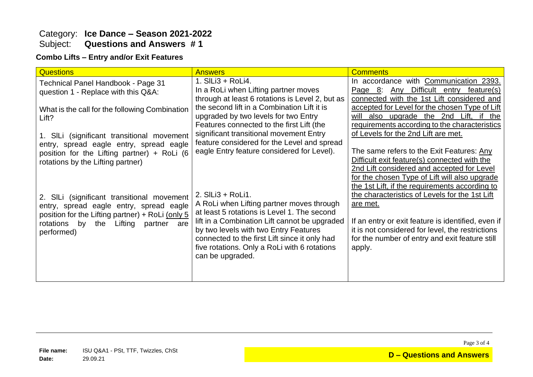### Category: **Ice Dance – Season 2021-2022** Subject: **Questions and Answers # 1**

#### **Combo Lifts – Entry and/or Exit Features**

| <b>Questions</b>                                                                                                                            | <b>Answers</b>                                                                                                                                                                                              | <b>Comments</b>                                                                                                                                                    |
|---------------------------------------------------------------------------------------------------------------------------------------------|-------------------------------------------------------------------------------------------------------------------------------------------------------------------------------------------------------------|--------------------------------------------------------------------------------------------------------------------------------------------------------------------|
| Technical Panel Handbook - Page 31<br>question 1 - Replace with this Q&A:                                                                   | 1. SILi3 + RoLi4.<br>In a RoLi when Lifting partner moves<br>through at least 6 rotations is Level 2, but as                                                                                                | In accordance with Communication 2393.<br>Difficult entry feature(s)<br>Any<br>Page $8$ :<br>connected with the 1st Lift considered and                            |
| What is the call for the following Combination<br>Lift?                                                                                     | the second lift in a Combination Lift it is<br>upgraded by two levels for two Entry<br>Features connected to the first Lift (the                                                                            | accepted for Level for the chosen Type of Lift<br>will also upgrade the 2nd Lift, if the<br>requirements according to the characteristics                          |
| 1. SILi (significant transitional movement<br>entry, spread eagle entry, spread eagle                                                       | significant transitional movement Entry<br>feature considered for the Level and spread                                                                                                                      | of Levels for the 2nd Lift are met.                                                                                                                                |
| position for the Lifting partner) + RoLi (6<br>rotations by the Lifting partner)                                                            | eagle Entry feature considered for Level).                                                                                                                                                                  | The same refers to the Exit Features: Any<br>Difficult exit feature(s) connected with the<br>2nd Lift considered and accepted for Level                            |
| 2. SILi (significant transitional movement<br>entry, spread eagle entry, spread eagle<br>position for the Lifting partner) $+$ RoLi (only 5 | 2. SILi3 + RoLi1.<br>A RoLi when Lifting partner moves through<br>at least 5 rotations is Level 1. The second                                                                                               | for the chosen Type of Lift will also upgrade<br>the 1st Lift, if the requirements according to<br>the characteristics of Levels for the 1st Lift<br>are met.      |
| by the Lifting<br>rotations<br>partner<br>are<br>performed)                                                                                 | lift in a Combination Lift cannot be upgraded<br>by two levels with two Entry Features<br>connected to the first Lift since it only had<br>five rotations. Only a RoLi with 6 rotations<br>can be upgraded. | If an entry or exit feature is identified, even if<br>it is not considered for level, the restrictions<br>for the number of entry and exit feature still<br>apply. |
|                                                                                                                                             |                                                                                                                                                                                                             |                                                                                                                                                                    |